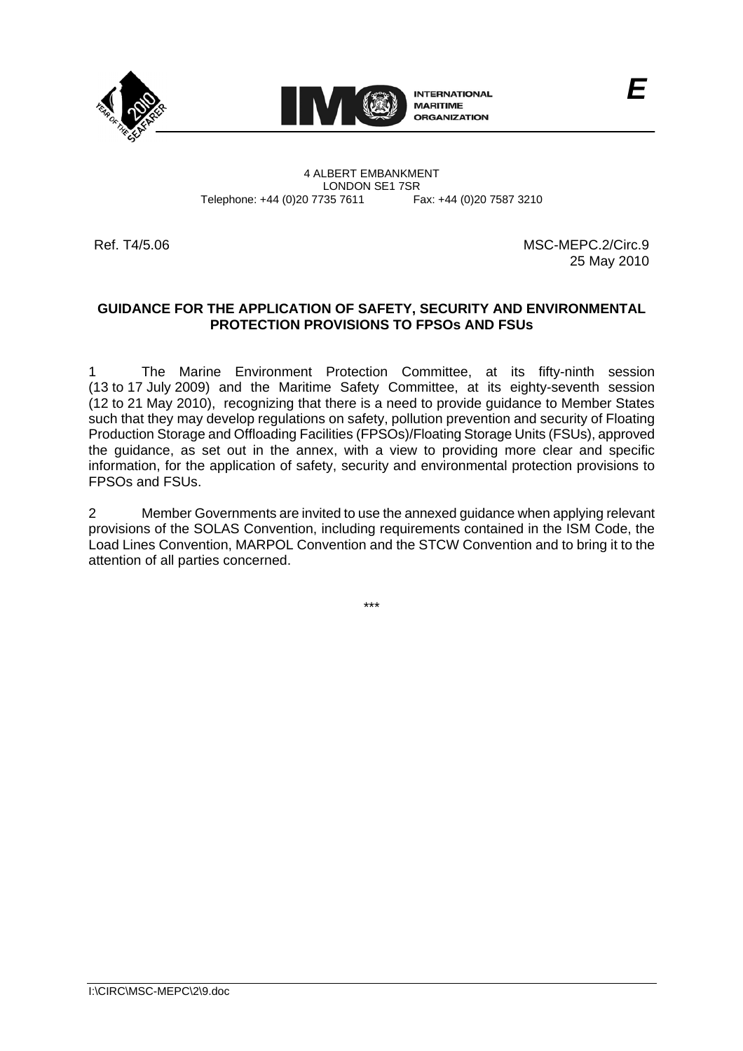



4 ALBERT EMBANKMENT Telephone: +44 (0)20 7735 7611

LONDON SE1 7SR<br>735 7611 Fax: +44 (0)20 7587 3210

Ref. T4/5.06 MSC-MEPC.2/Circ.9 25 May 2010

# **GUIDANCE FOR THE APPLICATION OF SAFETY, SECURITY AND ENVIRONMENTAL PROTECTION PROVISIONS TO FPSOs AND FSUs**

The Marine Environment Protection Committee, at its fifty-ninth session (13 to 17 July 2009) and the Maritime Safety Committee, at its eighty-seventh session (12 to 21 May 2010), recognizing that there is a need to provide guidance to Member States such that they may develop regulations on safety, pollution prevention and security of Floating Production Storage and Offloading Facilities (FPSOs)/Floating Storage Units (FSUs), approved the guidance, as set out in the annex, with a view to providing more clear and specific information, for the application of safety, security and environmental protection provisions to FPSOs and FSUs.

2 Member Governments are invited to use the annexed guidance when applying relevant<br>provisions of the SOLAS Convention, including requirements contained in the ISM Code, the<br>Load Lines Convention, MARPOL Convention and the provisions of the SOLAS Convention, including requirements contained in the ISM Code, the Load Lines Convention, MARPOL Convention and the STCW Convention and to bring it to the attention of all parties concerned.

\*\*\*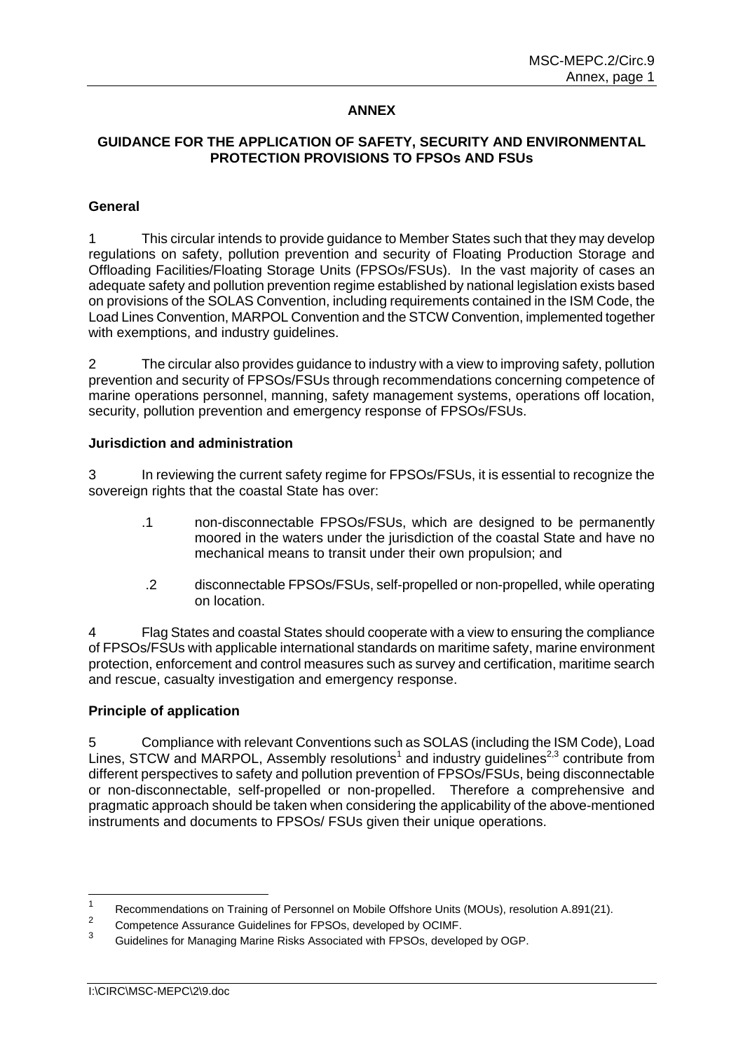## **ANNEX**

# **GUIDANCE FOR THE APPLICATION OF SAFETY, SECURITY AND ENVIRONMENTAL PROTECTION PROVISIONS TO FPSOs AND FSUs**

### **General**

1 This circular intends to provide guidance to Member States such that they may develop regulations on safety, pollution prevention and security of Floating Production Storage and Offloading Facilities/Floating Storage Units (FPSOs/FSUs). In the vast majority of cases an adequate safety and pollution prevention regime established by national legislation exists based on provisions of the SOLAS Convention, including requirements contained in the ISM Code, the Load Lines Convention, MARPOL Convention and the STCW Convention, implemented together with exemptions, and industry guidelines.

2 The circular also provides guidance to industry with a view to improving safety, pollution prevention and security of FPSOs/FSUs through recommendations concerning competence of marine operations personnel, manning, safety management systems, operations off location, security, pollution prevention and emergency response of FPSOs/FSUs.

### **Jurisdiction and administration**

3 In reviewing the current safety regime for FPSOs/FSUs, it is essential to recognize the sovereign rights that the coastal State has over:

- non-disconnectable FPSOs/FSUs, which are designed to be permanently<br>moored in the waters under the jurisdiction of the coastal State and have no .1 non-disconnectable FPSOs/FSUs, which are designed to be permanently mechanical means to transit under their own propulsion; and
- .2 disconnectable FPSOs/FSUs, self-propelled or non-propelled, while operating on location.

4 Flag States and coastal States should cooperate with a view to ensuring the compliance of FPSOs/FSUs with applicable international standards on maritime safety, marine environment protection, enforcement and control measures such as survey and certification, maritime search and rescue, casualty investigation and emergency response.

#### **Principle of application**

5 Compliance with relevant Conventions such as SOLAS (including the ISM Code), Load Lines, STCW and MARPOL, Assembly resolutions<sup>1</sup> and industry guidelines<sup>2,3</sup> contribute from different perspectives to safety and pollution prevention of FPSOs/FSUs, being disconnectable or non-disconnectable, self-propelled or non-propelled. Therefore a comprehensive and pragmatic approach should be taken when considering the applicability of the above-mentioned instruments and documents to FPSOs/ FSUs given their unique operations.

 $\frac{1}{1}$ Recommendations on Training of Personnel on Mobile Offshore Units (MOUs), resolution A.891(21).

 $\overline{2}$ <sup>2</sup> Competence Assurance Guidelines for FPSOs, developed by OCIMF.<br><sup>3</sup> Cuidelines for Managing Marine Disks Associated with FROQuadrupts

<sup>3</sup> Guidelines for Managing Marine Risks Associated with FPSOs, developed by OGP.